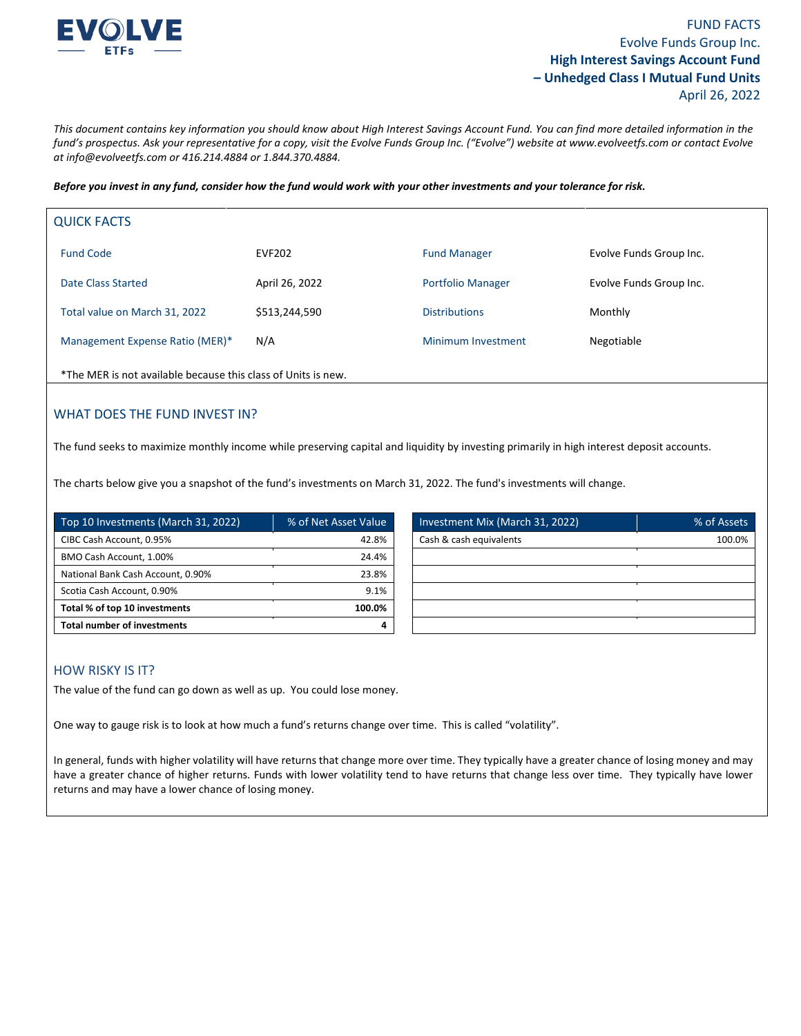

*This document contains key information you should know about High Interest Savings Account Fund. You can find more detailed information in the fund's prospectus. Ask your representative for a copy, visit the Evolve Funds Group Inc. ("Evolve") website at www.evolveetfs.com or contact Evolve at info@evolveetfs.com or 416.214.4884 or 1.844.370.4884.* 

*Before you invest in any fund, consider how the fund would work with your other investments and your tolerance for risk.* 

| <b>QUICK FACTS</b>              |                |                          |                         |
|---------------------------------|----------------|--------------------------|-------------------------|
| <b>Fund Code</b>                | <b>EVF202</b>  | <b>Fund Manager</b>      | Evolve Funds Group Inc. |
| Date Class Started              | April 26, 2022 | <b>Portfolio Manager</b> | Evolve Funds Group Inc. |
| Total value on March 31, 2022   | \$513,244,590  | <b>Distributions</b>     | Monthly                 |
| Management Expense Ratio (MER)* | N/A            | Minimum Investment       | Negotiable              |
|                                 |                |                          |                         |

\*The MER is not available because this class of Units is new.

## WHAT DOES THE FUND INVEST IN?

The fund seeks to maximize monthly income while preserving capital and liquidity by investing primarily in high interest deposit accounts.

The charts below give you a snapshot of the fund's investments on March 31, 2022. The fund's investments will change.

| Top 10 Investments (March 31, 2022) | % of Net Asset Value |
|-------------------------------------|----------------------|
| CIBC Cash Account, 0.95%            | 42.8%                |
| BMO Cash Account, 1.00%             | 24.4%                |
| National Bank Cash Account, 0.90%   | 23.8%                |
| Scotia Cash Account, 0.90%          | 9.1%                 |
| Total % of top 10 investments       | 100.0%               |
| <b>Total number of investments</b>  |                      |

| Top 10 Investments (March 31, 2022) | ■% of Net Asset Value | Investment Mix (March 31, 2022) | % of Assets |
|-------------------------------------|-----------------------|---------------------------------|-------------|
| CIBC Cash Account, 0.95%            | 42.8%                 | Cash & cash equivalents         | 100.0%      |
| BMO Cash Account, 1.00%             | 24.4%                 |                                 |             |
| National Bank Cash Account, 0.90%   | 23.8%                 |                                 |             |
| Scotia Cash Account, 0.90%          | 9.1%                  |                                 |             |
| Total % of top 10 investments       | 100.0%                |                                 |             |
| <b>Total number of investments</b>  |                       |                                 |             |

### HOW RISKY IS IT?

The value of the fund can go down as well as up. You could lose money.

One way to gauge risk is to look at how much a fund's returns change over time. This is called "volatility".

In general, funds with higher volatility will have returns that change more over time. They typically have a greater chance of losing money and may have a greater chance of higher returns. Funds with lower volatility tend to have returns that change less over time. They typically have lower returns and may have a lower chance of losing money.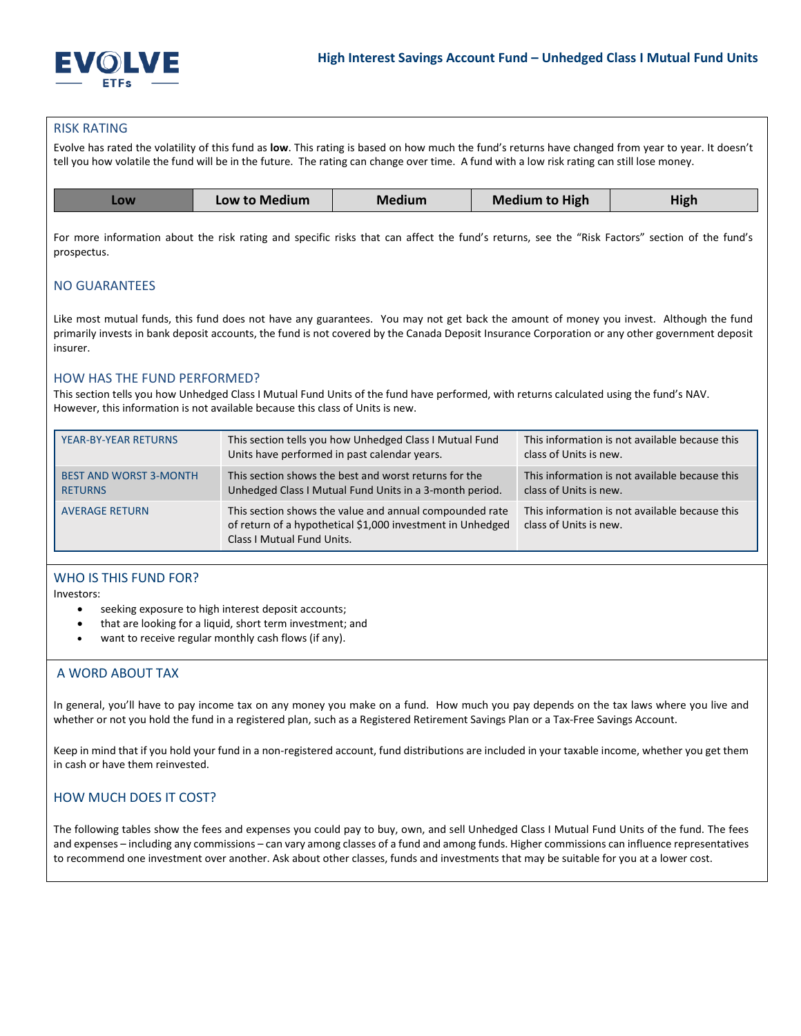

#### RISK RATING

Evolve has rated the volatility of this fund as **low**. This rating is based on how much the fund's returns have changed from year to year. It doesn't tell you how volatile the fund will be in the future. The rating can change over time. A fund with a low risk rating can still lose money.

| Low to Medium | Medium | <b>Medium to High</b> | High |
|---------------|--------|-----------------------|------|
|               |        |                       |      |

For more information about the risk rating and specific risks that can affect the fund's returns, see the "Risk Factors" section of the fund's prospectus.

### NO GUARANTEES

Like most mutual funds, this fund does not have any guarantees. You may not get back the amount of money you invest. Although the fund primarily invests in bank deposit accounts, the fund is not covered by the Canada Deposit Insurance Corporation or any other government deposit insurer.

## HOW HAS THE FUND PERFORMED?

This section tells you how Unhedged Class I Mutual Fund Units of the fund have performed, with returns calculated using the fund's NAV. However, this information is not available because this class of Units is new.

| YEAR-BY-YEAR RETURNS                            | This section tells you how Unhedged Class I Mutual Fund<br>Units have performed in past calendar years.                                             | This information is not available because this<br>class of Units is new. |
|-------------------------------------------------|-----------------------------------------------------------------------------------------------------------------------------------------------------|--------------------------------------------------------------------------|
| <b>BEST AND WORST 3-MONTH</b><br><b>RETURNS</b> | This section shows the best and worst returns for the<br>Unhedged Class I Mutual Fund Units in a 3-month period.                                    | This information is not available because this<br>class of Units is new. |
| <b>AVERAGE RETURN</b>                           | This section shows the value and annual compounded rate<br>of return of a hypothetical \$1,000 investment in Unhedged<br>Class I Mutual Fund Units. | This information is not available because this<br>class of Units is new. |

## WHO IS THIS FUND FOR?

Investors:

- seeking exposure to high interest deposit accounts;
- that are looking for a liquid, short term investment; and
- want to receive regular monthly cash flows (if any).

## A WORD ABOUT TAX

In general, you'll have to pay income tax on any money you make on a fund. How much you pay depends on the tax laws where you live and whether or not you hold the fund in a registered plan, such as a Registered Retirement Savings Plan or a Tax-Free Savings Account.

Keep in mind that if you hold your fund in a non-registered account, fund distributions are included in your taxable income, whether you get them in cash or have them reinvested.

# HOW MUCH DOES IT COST?

The following tables show the fees and expenses you could pay to buy, own, and sell Unhedged Class I Mutual Fund Units of the fund. The fees and expenses – including any commissions – can vary among classes of a fund and among funds. Higher commissions can influence representatives to recommend one investment over another. Ask about other classes, funds and investments that may be suitable for you at a lower cost.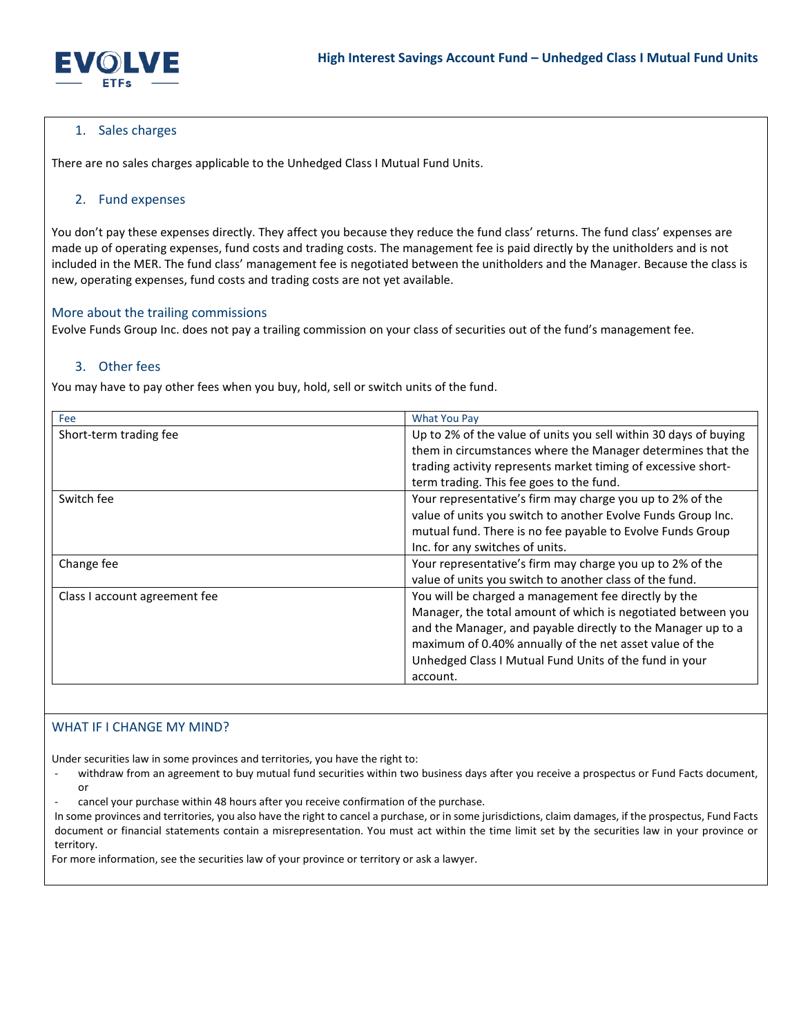

## 1. Sales charges

There are no sales charges applicable to the Unhedged Class I Mutual Fund Units.

### 2. Fund expenses

You don't pay these expenses directly. They affect you because they reduce the fund class' returns. The fund class' expenses are made up of operating expenses, fund costs and trading costs. The management fee is paid directly by the unitholders and is not included in the MER. The fund class' management fee is negotiated between the unitholders and the Manager. Because the class is new, operating expenses, fund costs and trading costs are not yet available.

### More about the trailing commissions

Evolve Funds Group Inc. does not pay a trailing commission on your class of securities out of the fund's management fee.

## 3. Other fees

You may have to pay other fees when you buy, hold, sell or switch units of the fund.

| Fee                           | <b>What You Pay</b>                                              |
|-------------------------------|------------------------------------------------------------------|
| Short-term trading fee        | Up to 2% of the value of units you sell within 30 days of buying |
|                               | them in circumstances where the Manager determines that the      |
|                               | trading activity represents market timing of excessive short-    |
|                               | term trading. This fee goes to the fund.                         |
| Switch fee                    | Your representative's firm may charge you up to 2% of the        |
|                               | value of units you switch to another Evolve Funds Group Inc.     |
|                               | mutual fund. There is no fee payable to Evolve Funds Group       |
|                               | Inc. for any switches of units.                                  |
| Change fee                    | Your representative's firm may charge you up to 2% of the        |
|                               | value of units you switch to another class of the fund.          |
| Class I account agreement fee | You will be charged a management fee directly by the             |
|                               | Manager, the total amount of which is negotiated between you     |
|                               | and the Manager, and payable directly to the Manager up to a     |
|                               | maximum of 0.40% annually of the net asset value of the          |
|                               | Unhedged Class I Mutual Fund Units of the fund in your           |
|                               | account.                                                         |

## WHAT IF I CHANGE MY MIND?

Under securities law in some provinces and territories, you have the right to:

withdraw from an agreement to buy mutual fund securities within two business days after you receive a prospectus or Fund Facts document, or

cancel your purchase within 48 hours after you receive confirmation of the purchase.

In some provinces and territories, you also have the right to cancel a purchase, or in some jurisdictions, claim damages, if the prospectus, Fund Facts document or financial statements contain a misrepresentation. You must act within the time limit set by the securities law in your province or territory.

For more information, see the securities law of your province or territory or ask a lawyer.